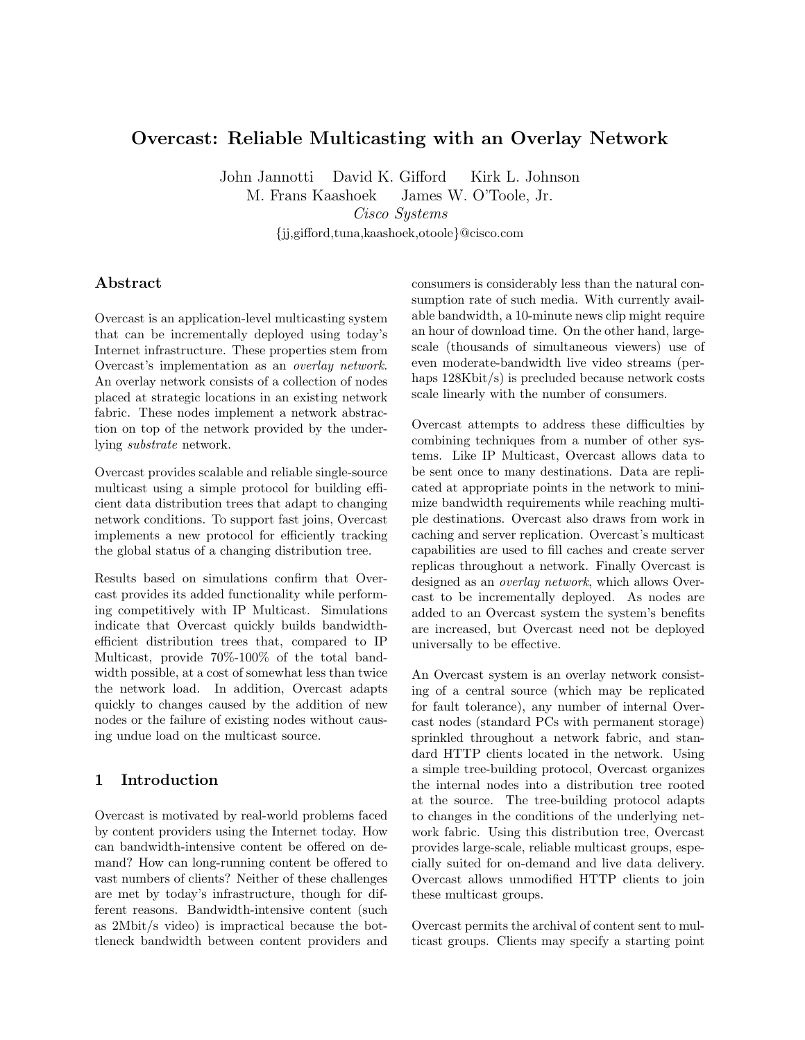# Overcast: Reliable Multicasting with an Overlay Network

John Jannotti David K. Gifford Kirk L. Johnson

M. Frans Kaashoek James W. O'Toole, Jr. Cisco Systems

{jj,gifford,tuna,kaashoek,otoole}@cisco.com

### Abstract

Overcast is an application-level multicasting system that can be incrementally deployed using today's Internet infrastructure. These properties stem from Overcast's implementation as an overlay network. An overlay network consists of a collection of nodes placed at strategic locations in an existing network fabric. These nodes implement a network abstraction on top of the network provided by the underlying substrate network.

Overcast provides scalable and reliable single-source multicast using a simple protocol for building efficient data distribution trees that adapt to changing network conditions. To support fast joins, Overcast implements a new protocol for efficiently tracking the global status of a changing distribution tree.

Results based on simulations confirm that Overcast provides its added functionality while performing competitively with IP Multicast. Simulations indicate that Overcast quickly builds bandwidthefficient distribution trees that, compared to IP Multicast, provide 70%-100% of the total bandwidth possible, at a cost of somewhat less than twice the network load. In addition, Overcast adapts quickly to changes caused by the addition of new nodes or the failure of existing nodes without causing undue load on the multicast source.

## 1 Introduction

Overcast is motivated by real-world problems faced by content providers using the Internet today. How can bandwidth-intensive content be offered on demand? How can long-running content be offered to vast numbers of clients? Neither of these challenges are met by today's infrastructure, though for different reasons. Bandwidth-intensive content (such as 2Mbit/s video) is impractical because the bottleneck bandwidth between content providers and

consumers is considerably less than the natural consumption rate of such media. With currently available bandwidth, a 10-minute news clip might require an hour of download time. On the other hand, largescale (thousands of simultaneous viewers) use of even moderate-bandwidth live video streams (perhaps  $128Kbit/s$  is precluded because network costs scale linearly with the number of consumers.

Overcast attempts to address these difficulties by combining techniques from a number of other systems. Like IP Multicast, Overcast allows data to be sent once to many destinations. Data are replicated at appropriate points in the network to minimize bandwidth requirements while reaching multiple destinations. Overcast also draws from work in caching and server replication. Overcast's multicast capabilities are used to fill caches and create server replicas throughout a network. Finally Overcast is designed as an overlay network, which allows Overcast to be incrementally deployed. As nodes are added to an Overcast system the system's benefits are increased, but Overcast need not be deployed universally to be effective.

An Overcast system is an overlay network consisting of a central source (which may be replicated for fault tolerance), any number of internal Overcast nodes (standard PCs with permanent storage) sprinkled throughout a network fabric, and standard HTTP clients located in the network. Using a simple tree-building protocol, Overcast organizes the internal nodes into a distribution tree rooted at the source. The tree-building protocol adapts to changes in the conditions of the underlying network fabric. Using this distribution tree, Overcast provides large-scale, reliable multicast groups, especially suited for on-demand and live data delivery. Overcast allows unmodified HTTP clients to join these multicast groups.

Overcast permits the archival of content sent to multicast groups. Clients may specify a starting point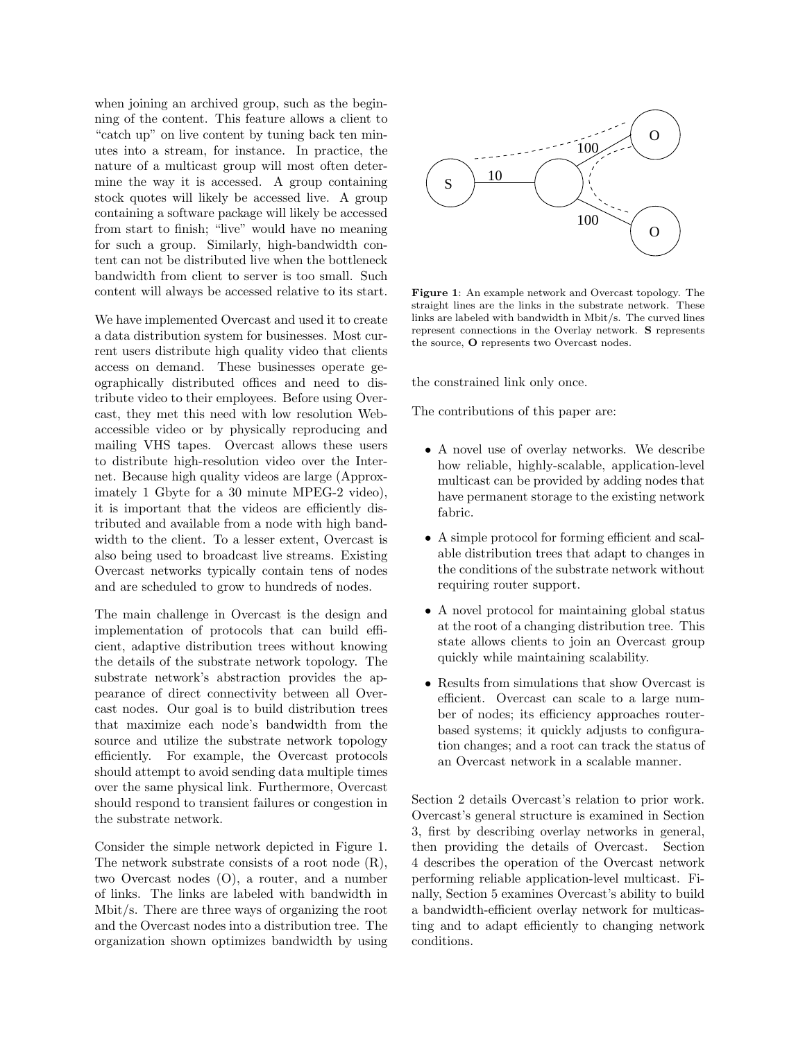when joining an archived group, such as the beginning of the content. This feature allows a client to "catch up" on live content by tuning back ten minutes into a stream, for instance. In practice, the nature of a multicast group will most often determine the way it is accessed. A group containing stock quotes will likely be accessed live. A group containing a software package will likely be accessed from start to finish; "live" would have no meaning for such a group. Similarly, high-bandwidth content can not be distributed live when the bottleneck bandwidth from client to server is too small. Such content will always be accessed relative to its start.

We have implemented Overcast and used it to create a data distribution system for businesses. Most current users distribute high quality video that clients access on demand. These businesses operate geographically distributed offices and need to distribute video to their employees. Before using Overcast, they met this need with low resolution Webaccessible video or by physically reproducing and mailing VHS tapes. Overcast allows these users to distribute high-resolution video over the Internet. Because high quality videos are large (Approximately 1 Gbyte for a 30 minute MPEG-2 video), it is important that the videos are efficiently distributed and available from a node with high bandwidth to the client. To a lesser extent, Overcast is also being used to broadcast live streams. Existing Overcast networks typically contain tens of nodes and are scheduled to grow to hundreds of nodes.

The main challenge in Overcast is the design and implementation of protocols that can build efficient, adaptive distribution trees without knowing the details of the substrate network topology. The substrate network's abstraction provides the appearance of direct connectivity between all Overcast nodes. Our goal is to build distribution trees that maximize each node's bandwidth from the source and utilize the substrate network topology efficiently. For example, the Overcast protocols should attempt to avoid sending data multiple times over the same physical link. Furthermore, Overcast should respond to transient failures or congestion in the substrate network.

Consider the simple network depicted in Figure 1. The network substrate consists of a root node (R), two Overcast nodes (O), a router, and a number of links. The links are labeled with bandwidth in Mbit/s. There are three ways of organizing the root and the Overcast nodes into a distribution tree. The organization shown optimizes bandwidth by using



Figure 1: An example network and Overcast topology. The straight lines are the links in the substrate network. These links are labeled with bandwidth in Mbit/s. The curved lines represent connections in the Overlay network. S represents the source, O represents two Overcast nodes.

the constrained link only once.

The contributions of this paper are:

- A novel use of overlay networks. We describe how reliable, highly-scalable, application-level multicast can be provided by adding nodes that have permanent storage to the existing network fabric.
- A simple protocol for forming efficient and scalable distribution trees that adapt to changes in the conditions of the substrate network without requiring router support.
- A novel protocol for maintaining global status at the root of a changing distribution tree. This state allows clients to join an Overcast group quickly while maintaining scalability.
- Results from simulations that show Overcast is efficient. Overcast can scale to a large number of nodes; its efficiency approaches routerbased systems; it quickly adjusts to configuration changes; and a root can track the status of an Overcast network in a scalable manner.

Section 2 details Overcast's relation to prior work. Overcast's general structure is examined in Section 3, first by describing overlay networks in general, then providing the details of Overcast. Section 4 describes the operation of the Overcast network performing reliable application-level multicast. Finally, Section 5 examines Overcast's ability to build a bandwidth-efficient overlay network for multicasting and to adapt efficiently to changing network conditions.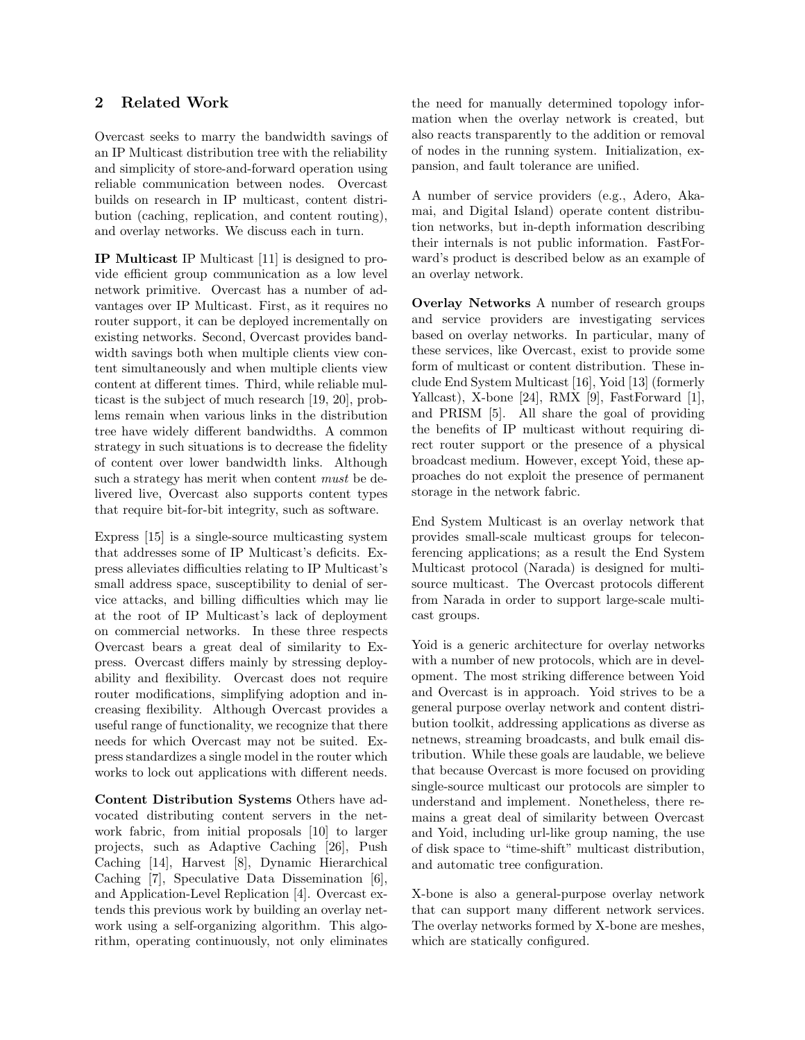# 2 Related Work

Overcast seeks to marry the bandwidth savings of an IP Multicast distribution tree with the reliability and simplicity of store-and-forward operation using reliable communication between nodes. Overcast builds on research in IP multicast, content distribution (caching, replication, and content routing), and overlay networks. We discuss each in turn.

IP Multicast IP Multicast [11] is designed to provide efficient group communication as a low level network primitive. Overcast has a number of advantages over IP Multicast. First, as it requires no router support, it can be deployed incrementally on existing networks. Second, Overcast provides bandwidth savings both when multiple clients view content simultaneously and when multiple clients view content at different times. Third, while reliable multicast is the subject of much research [19, 20], problems remain when various links in the distribution tree have widely different bandwidths. A common strategy in such situations is to decrease the fidelity of content over lower bandwidth links. Although such a strategy has merit when content must be delivered live, Overcast also supports content types that require bit-for-bit integrity, such as software.

Express [15] is a single-source multicasting system that addresses some of IP Multicast's deficits. Express alleviates difficulties relating to IP Multicast's small address space, susceptibility to denial of service attacks, and billing difficulties which may lie at the root of IP Multicast's lack of deployment on commercial networks. In these three respects Overcast bears a great deal of similarity to Express. Overcast differs mainly by stressing deployability and flexibility. Overcast does not require router modifications, simplifying adoption and increasing flexibility. Although Overcast provides a useful range of functionality, we recognize that there needs for which Overcast may not be suited. Express standardizes a single model in the router which works to lock out applications with different needs.

Content Distribution Systems Others have advocated distributing content servers in the network fabric, from initial proposals [10] to larger projects, such as Adaptive Caching [26], Push Caching [14], Harvest [8], Dynamic Hierarchical Caching [7], Speculative Data Dissemination [6], and Application-Level Replication [4]. Overcast extends this previous work by building an overlay network using a self-organizing algorithm. This algorithm, operating continuously, not only eliminates the need for manually determined topology information when the overlay network is created, but also reacts transparently to the addition or removal of nodes in the running system. Initialization, expansion, and fault tolerance are unified.

A number of service providers (e.g., Adero, Akamai, and Digital Island) operate content distribution networks, but in-depth information describing their internals is not public information. FastForward's product is described below as an example of an overlay network.

Overlay Networks A number of research groups and service providers are investigating services based on overlay networks. In particular, many of these services, like Overcast, exist to provide some form of multicast or content distribution. These include End System Multicast [16], Yoid [13] (formerly Yallcast), X-bone [24], RMX [9], FastForward [1], and PRISM [5]. All share the goal of providing the benefits of IP multicast without requiring direct router support or the presence of a physical broadcast medium. However, except Yoid, these approaches do not exploit the presence of permanent storage in the network fabric.

End System Multicast is an overlay network that provides small-scale multicast groups for teleconferencing applications; as a result the End System Multicast protocol (Narada) is designed for multisource multicast. The Overcast protocols different from Narada in order to support large-scale multicast groups.

Yoid is a generic architecture for overlay networks with a number of new protocols, which are in development. The most striking difference between Yoid and Overcast is in approach. Yoid strives to be a general purpose overlay network and content distribution toolkit, addressing applications as diverse as netnews, streaming broadcasts, and bulk email distribution. While these goals are laudable, we believe that because Overcast is more focused on providing single-source multicast our protocols are simpler to understand and implement. Nonetheless, there remains a great deal of similarity between Overcast and Yoid, including url-like group naming, the use of disk space to "time-shift" multicast distribution, and automatic tree configuration.

X-bone is also a general-purpose overlay network that can support many different network services. The overlay networks formed by X-bone are meshes, which are statically configured.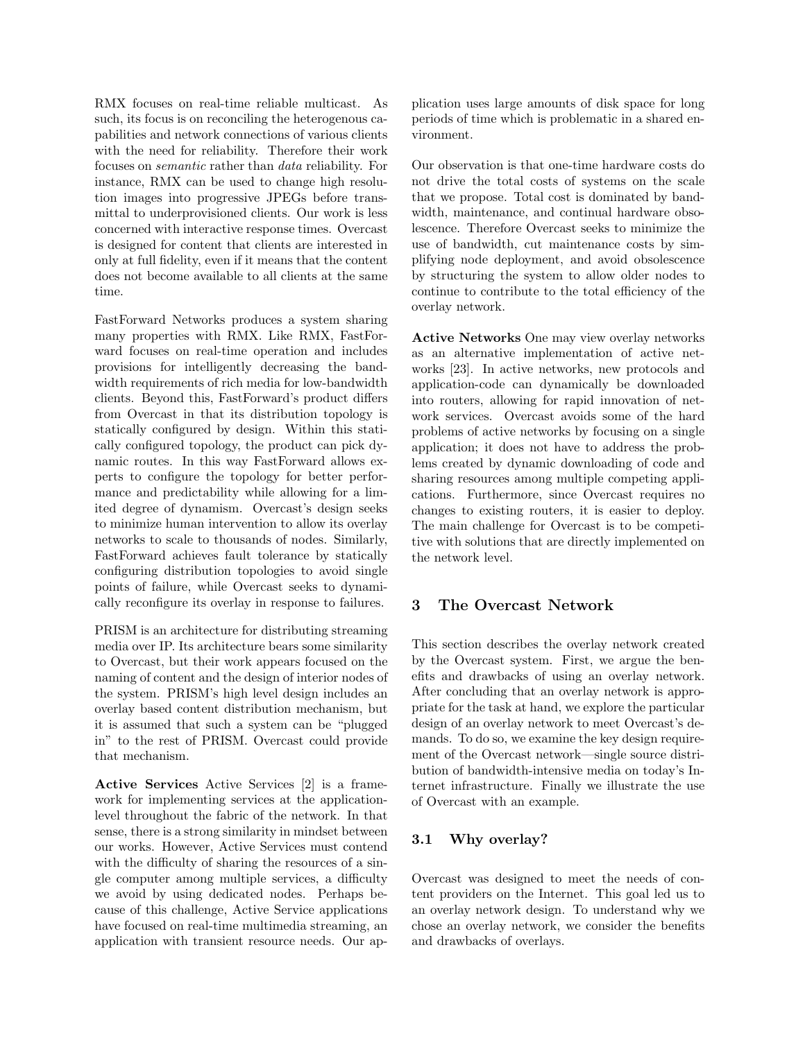RMX focuses on real-time reliable multicast. As such, its focus is on reconciling the heterogenous capabilities and network connections of various clients with the need for reliability. Therefore their work focuses on semantic rather than data reliability. For instance, RMX can be used to change high resolution images into progressive JPEGs before transmittal to underprovisioned clients. Our work is less concerned with interactive response times. Overcast is designed for content that clients are interested in only at full fidelity, even if it means that the content does not become available to all clients at the same time.

FastForward Networks produces a system sharing many properties with RMX. Like RMX, FastForward focuses on real-time operation and includes provisions for intelligently decreasing the bandwidth requirements of rich media for low-bandwidth clients. Beyond this, FastForward's product differs from Overcast in that its distribution topology is statically configured by design. Within this statically configured topology, the product can pick dynamic routes. In this way FastForward allows experts to configure the topology for better performance and predictability while allowing for a limited degree of dynamism. Overcast's design seeks to minimize human intervention to allow its overlay networks to scale to thousands of nodes. Similarly, FastForward achieves fault tolerance by statically configuring distribution topologies to avoid single points of failure, while Overcast seeks to dynamically reconfigure its overlay in response to failures.

PRISM is an architecture for distributing streaming media over IP. Its architecture bears some similarity to Overcast, but their work appears focused on the naming of content and the design of interior nodes of the system. PRISM's high level design includes an overlay based content distribution mechanism, but it is assumed that such a system can be "plugged in" to the rest of PRISM. Overcast could provide that mechanism.

Active Services Active Services [2] is a framework for implementing services at the applicationlevel throughout the fabric of the network. In that sense, there is a strong similarity in mindset between our works. However, Active Services must contend with the difficulty of sharing the resources of a single computer among multiple services, a difficulty we avoid by using dedicated nodes. Perhaps because of this challenge, Active Service applications have focused on real-time multimedia streaming, an application with transient resource needs. Our application uses large amounts of disk space for long periods of time which is problematic in a shared environment.

Our observation is that one-time hardware costs do not drive the total costs of systems on the scale that we propose. Total cost is dominated by bandwidth, maintenance, and continual hardware obsolescence. Therefore Overcast seeks to minimize the use of bandwidth, cut maintenance costs by simplifying node deployment, and avoid obsolescence by structuring the system to allow older nodes to continue to contribute to the total efficiency of the overlay network.

Active Networks One may view overlay networks as an alternative implementation of active networks [23]. In active networks, new protocols and application-code can dynamically be downloaded into routers, allowing for rapid innovation of network services. Overcast avoids some of the hard problems of active networks by focusing on a single application; it does not have to address the problems created by dynamic downloading of code and sharing resources among multiple competing applications. Furthermore, since Overcast requires no changes to existing routers, it is easier to deploy. The main challenge for Overcast is to be competitive with solutions that are directly implemented on the network level.

### 3 The Overcast Network

This section describes the overlay network created by the Overcast system. First, we argue the benefits and drawbacks of using an overlay network. After concluding that an overlay network is appropriate for the task at hand, we explore the particular design of an overlay network to meet Overcast's demands. To do so, we examine the key design requirement of the Overcast network—single source distribution of bandwidth-intensive media on today's Internet infrastructure. Finally we illustrate the use of Overcast with an example.

#### 3.1 Why overlay?

Overcast was designed to meet the needs of content providers on the Internet. This goal led us to an overlay network design. To understand why we chose an overlay network, we consider the benefits and drawbacks of overlays.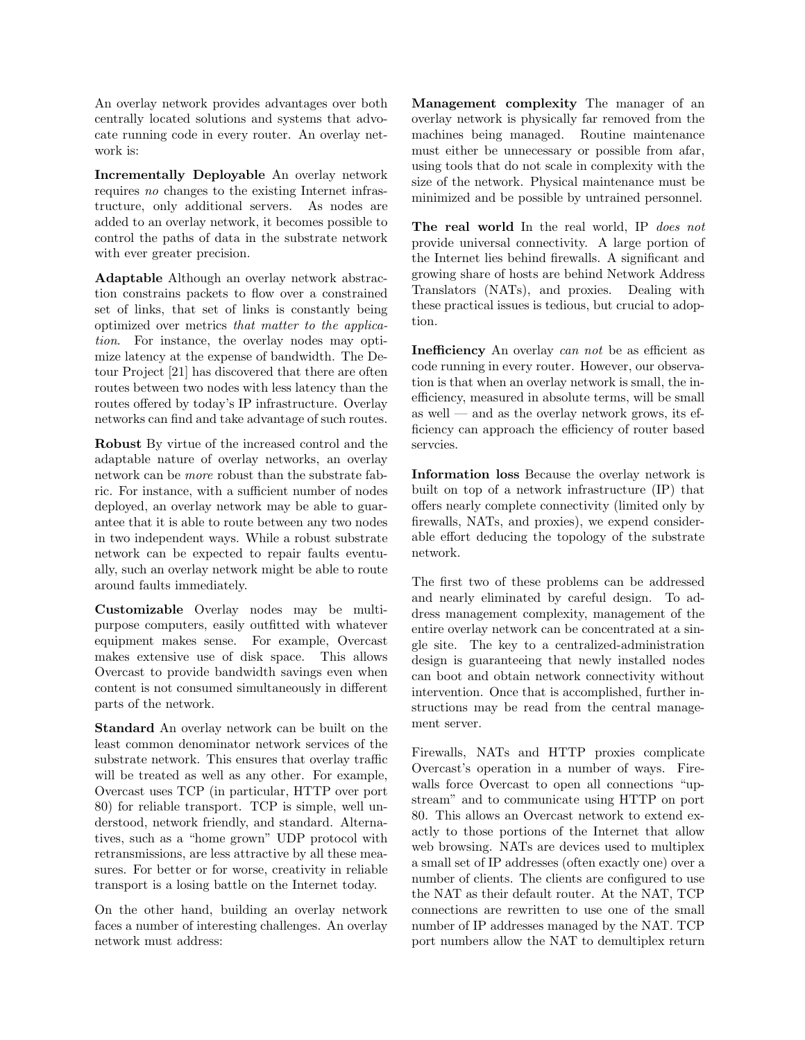An overlay network provides advantages over both centrally located solutions and systems that advocate running code in every router. An overlay network is:

Incrementally Deployable An overlay network requires no changes to the existing Internet infrastructure, only additional servers. As nodes are added to an overlay network, it becomes possible to control the paths of data in the substrate network with ever greater precision.

Adaptable Although an overlay network abstraction constrains packets to flow over a constrained set of links, that set of links is constantly being optimized over metrics that matter to the application. For instance, the overlay nodes may optimize latency at the expense of bandwidth. The Detour Project [21] has discovered that there are often routes between two nodes with less latency than the routes offered by today's IP infrastructure. Overlay networks can find and take advantage of such routes.

Robust By virtue of the increased control and the adaptable nature of overlay networks, an overlay network can be more robust than the substrate fabric. For instance, with a sufficient number of nodes deployed, an overlay network may be able to guarantee that it is able to route between any two nodes in two independent ways. While a robust substrate network can be expected to repair faults eventually, such an overlay network might be able to route around faults immediately.

Customizable Overlay nodes may be multipurpose computers, easily outfitted with whatever equipment makes sense. For example, Overcast makes extensive use of disk space. This allows Overcast to provide bandwidth savings even when content is not consumed simultaneously in different parts of the network.

Standard An overlay network can be built on the least common denominator network services of the substrate network. This ensures that overlay traffic will be treated as well as any other. For example, Overcast uses TCP (in particular, HTTP over port 80) for reliable transport. TCP is simple, well understood, network friendly, and standard. Alternatives, such as a "home grown" UDP protocol with retransmissions, are less attractive by all these measures. For better or for worse, creativity in reliable transport is a losing battle on the Internet today.

On the other hand, building an overlay network faces a number of interesting challenges. An overlay network must address:

Management complexity The manager of an overlay network is physically far removed from the machines being managed. Routine maintenance must either be unnecessary or possible from afar, using tools that do not scale in complexity with the size of the network. Physical maintenance must be minimized and be possible by untrained personnel.

The real world In the real world, IP does not provide universal connectivity. A large portion of the Internet lies behind firewalls. A significant and growing share of hosts are behind Network Address Translators (NATs), and proxies. Dealing with these practical issues is tedious, but crucial to adoption.

Inefficiency An overlay can not be as efficient as code running in every router. However, our observation is that when an overlay network is small, the inefficiency, measured in absolute terms, will be small as well — and as the overlay network grows, its efficiency can approach the efficiency of router based servcies.

Information loss Because the overlay network is built on top of a network infrastructure (IP) that offers nearly complete connectivity (limited only by firewalls, NATs, and proxies), we expend considerable effort deducing the topology of the substrate network.

The first two of these problems can be addressed and nearly eliminated by careful design. To address management complexity, management of the entire overlay network can be concentrated at a single site. The key to a centralized-administration design is guaranteeing that newly installed nodes can boot and obtain network connectivity without intervention. Once that is accomplished, further instructions may be read from the central management server.

Firewalls, NATs and HTTP proxies complicate Overcast's operation in a number of ways. Firewalls force Overcast to open all connections "upstream" and to communicate using HTTP on port 80. This allows an Overcast network to extend exactly to those portions of the Internet that allow web browsing. NATs are devices used to multiplex a small set of IP addresses (often exactly one) over a number of clients. The clients are configured to use the NAT as their default router. At the NAT, TCP connections are rewritten to use one of the small number of IP addresses managed by the NAT. TCP port numbers allow the NAT to demultiplex return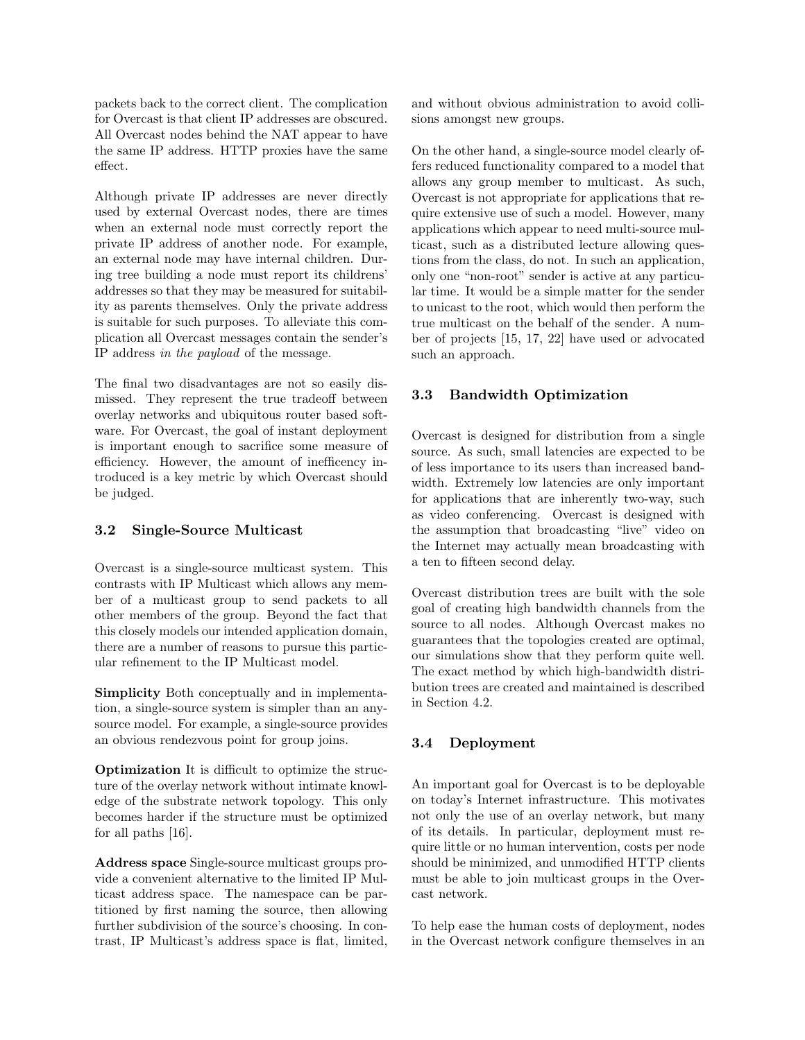packets back to the correct client. The complication for Overcast is that client IP addresses are obscured. All Overcast nodes behind the NAT appear to have the same IP address. HTTP proxies have the same effect.

Although private IP addresses are never directly used by external Overcast nodes, there are times when an external node must correctly report the private IP address of another node. For example, an external node may have internal children. During tree building a node must report its childrens' addresses so that they may be measured for suitability as parents themselves. Only the private address is suitable for such purposes. To alleviate this complication all Overcast messages contain the sender's IP address in the payload of the message.

The final two disadvantages are not so easily dismissed. They represent the true tradeoff between overlay networks and ubiquitous router based software. For Overcast, the goal of instant deployment is important enough to sacrifice some measure of efficiency. However, the amount of inefficency introduced is a key metric by which Overcast should be judged.

### 3.2 Single-Source Multicast

Overcast is a single-source multicast system. This contrasts with IP Multicast which allows any member of a multicast group to send packets to all other members of the group. Beyond the fact that this closely models our intended application domain, there are a number of reasons to pursue this particular refinement to the IP Multicast model.

Simplicity Both conceptually and in implementation, a single-source system is simpler than an anysource model. For example, a single-source provides an obvious rendezvous point for group joins.

Optimization It is difficult to optimize the structure of the overlay network without intimate knowledge of the substrate network topology. This only becomes harder if the structure must be optimized for all paths [16].

Address space Single-source multicast groups provide a convenient alternative to the limited IP Multicast address space. The namespace can be partitioned by first naming the source, then allowing further subdivision of the source's choosing. In contrast, IP Multicast's address space is flat, limited,

and without obvious administration to avoid collisions amongst new groups.

On the other hand, a single-source model clearly offers reduced functionality compared to a model that allows any group member to multicast. As such, Overcast is not appropriate for applications that require extensive use of such a model. However, many applications which appear to need multi-source multicast, such as a distributed lecture allowing questions from the class, do not. In such an application, only one "non-root" sender is active at any particular time. It would be a simple matter for the sender to unicast to the root, which would then perform the true multicast on the behalf of the sender. A number of projects [15, 17, 22] have used or advocated such an approach.

#### 3.3 Bandwidth Optimization

Overcast is designed for distribution from a single source. As such, small latencies are expected to be of less importance to its users than increased bandwidth. Extremely low latencies are only important for applications that are inherently two-way, such as video conferencing. Overcast is designed with the assumption that broadcasting "live" video on the Internet may actually mean broadcasting with a ten to fifteen second delay.

Overcast distribution trees are built with the sole goal of creating high bandwidth channels from the source to all nodes. Although Overcast makes no guarantees that the topologies created are optimal, our simulations show that they perform quite well. The exact method by which high-bandwidth distribution trees are created and maintained is described in Section 4.2.

### 3.4 Deployment

An important goal for Overcast is to be deployable on today's Internet infrastructure. This motivates not only the use of an overlay network, but many of its details. In particular, deployment must require little or no human intervention, costs per node should be minimized, and unmodified HTTP clients must be able to join multicast groups in the Overcast network.

To help ease the human costs of deployment, nodes in the Overcast network configure themselves in an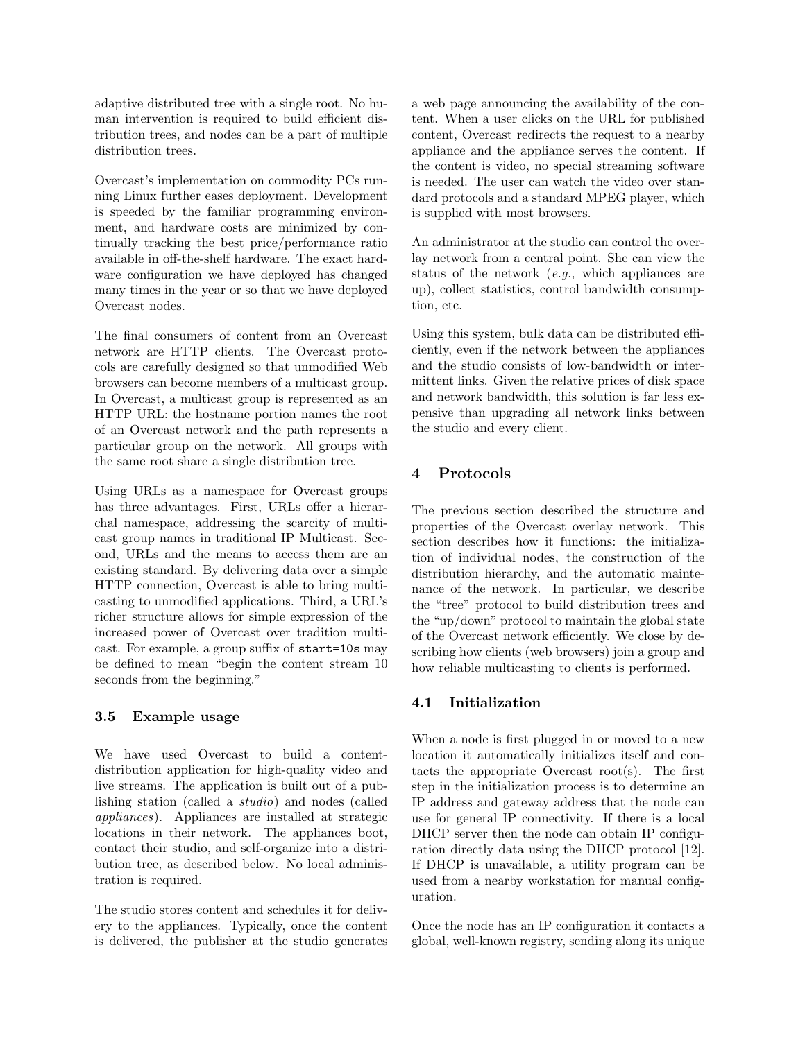adaptive distributed tree with a single root. No human intervention is required to build efficient distribution trees, and nodes can be a part of multiple distribution trees.

Overcast's implementation on commodity PCs running Linux further eases deployment. Development is speeded by the familiar programming environment, and hardware costs are minimized by continually tracking the best price/performance ratio available in off-the-shelf hardware. The exact hardware configuration we have deployed has changed many times in the year or so that we have deployed Overcast nodes.

The final consumers of content from an Overcast network are HTTP clients. The Overcast protocols are carefully designed so that unmodified Web browsers can become members of a multicast group. In Overcast, a multicast group is represented as an HTTP URL: the hostname portion names the root of an Overcast network and the path represents a particular group on the network. All groups with the same root share a single distribution tree.

Using URLs as a namespace for Overcast groups has three advantages. First, URLs offer a hierarchal namespace, addressing the scarcity of multicast group names in traditional IP Multicast. Second, URLs and the means to access them are an existing standard. By delivering data over a simple HTTP connection, Overcast is able to bring multicasting to unmodified applications. Third, a URL's richer structure allows for simple expression of the increased power of Overcast over tradition multicast. For example, a group suffix of start=10s may be defined to mean "begin the content stream 10 seconds from the beginning."

#### 3.5 Example usage

We have used Overcast to build a contentdistribution application for high-quality video and live streams. The application is built out of a publishing station (called a studio) and nodes (called appliances). Appliances are installed at strategic locations in their network. The appliances boot, contact their studio, and self-organize into a distribution tree, as described below. No local administration is required.

The studio stores content and schedules it for delivery to the appliances. Typically, once the content is delivered, the publisher at the studio generates a web page announcing the availability of the content. When a user clicks on the URL for published content, Overcast redirects the request to a nearby appliance and the appliance serves the content. If the content is video, no special streaming software is needed. The user can watch the video over standard protocols and a standard MPEG player, which is supplied with most browsers.

An administrator at the studio can control the overlay network from a central point. She can view the status of the network (e.g., which appliances are up), collect statistics, control bandwidth consumption, etc.

Using this system, bulk data can be distributed efficiently, even if the network between the appliances and the studio consists of low-bandwidth or intermittent links. Given the relative prices of disk space and network bandwidth, this solution is far less expensive than upgrading all network links between the studio and every client.

# 4 Protocols

The previous section described the structure and properties of the Overcast overlay network. This section describes how it functions: the initialization of individual nodes, the construction of the distribution hierarchy, and the automatic maintenance of the network. In particular, we describe the "tree" protocol to build distribution trees and the "up/down" protocol to maintain the global state of the Overcast network efficiently. We close by describing how clients (web browsers) join a group and how reliable multicasting to clients is performed.

#### 4.1 Initialization

When a node is first plugged in or moved to a new location it automatically initializes itself and contacts the appropriate Overcast root(s). The first step in the initialization process is to determine an IP address and gateway address that the node can use for general IP connectivity. If there is a local DHCP server then the node can obtain IP configuration directly data using the DHCP protocol [12]. If DHCP is unavailable, a utility program can be used from a nearby workstation for manual configuration.

Once the node has an IP configuration it contacts a global, well-known registry, sending along its unique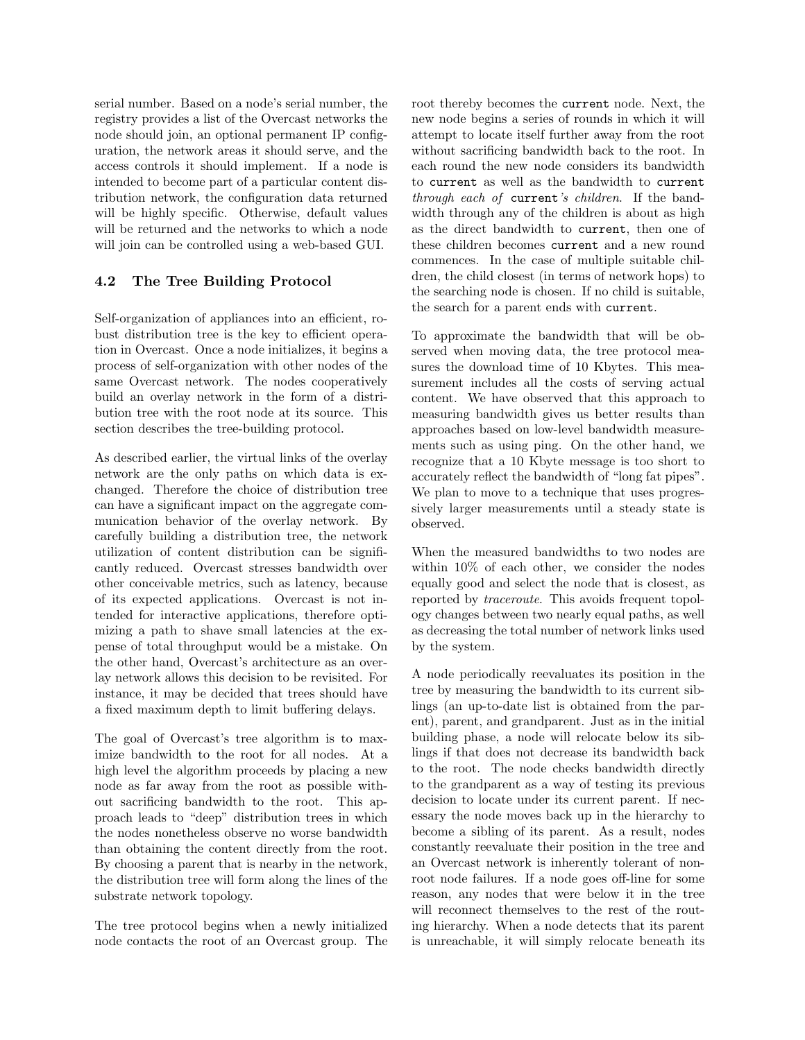serial number. Based on a node's serial number, the registry provides a list of the Overcast networks the node should join, an optional permanent IP configuration, the network areas it should serve, and the access controls it should implement. If a node is intended to become part of a particular content distribution network, the configuration data returned will be highly specific. Otherwise, default values will be returned and the networks to which a node will join can be controlled using a web-based GUI.

### 4.2 The Tree Building Protocol

Self-organization of appliances into an efficient, robust distribution tree is the key to efficient operation in Overcast. Once a node initializes, it begins a process of self-organization with other nodes of the same Overcast network. The nodes cooperatively build an overlay network in the form of a distribution tree with the root node at its source. This section describes the tree-building protocol.

As described earlier, the virtual links of the overlay network are the only paths on which data is exchanged. Therefore the choice of distribution tree can have a significant impact on the aggregate communication behavior of the overlay network. By carefully building a distribution tree, the network utilization of content distribution can be significantly reduced. Overcast stresses bandwidth over other conceivable metrics, such as latency, because of its expected applications. Overcast is not intended for interactive applications, therefore optimizing a path to shave small latencies at the expense of total throughput would be a mistake. On the other hand, Overcast's architecture as an overlay network allows this decision to be revisited. For instance, it may be decided that trees should have a fixed maximum depth to limit buffering delays.

The goal of Overcast's tree algorithm is to maximize bandwidth to the root for all nodes. At a high level the algorithm proceeds by placing a new node as far away from the root as possible without sacrificing bandwidth to the root. This approach leads to "deep" distribution trees in which the nodes nonetheless observe no worse bandwidth than obtaining the content directly from the root. By choosing a parent that is nearby in the network, the distribution tree will form along the lines of the substrate network topology.

The tree protocol begins when a newly initialized node contacts the root of an Overcast group. The root thereby becomes the current node. Next, the new node begins a series of rounds in which it will attempt to locate itself further away from the root without sacrificing bandwidth back to the root. In each round the new node considers its bandwidth to current as well as the bandwidth to current through each of current's children. If the bandwidth through any of the children is about as high as the direct bandwidth to current, then one of these children becomes current and a new round commences. In the case of multiple suitable children, the child closest (in terms of network hops) to the searching node is chosen. If no child is suitable, the search for a parent ends with current.

To approximate the bandwidth that will be observed when moving data, the tree protocol measures the download time of 10 Kbytes. This measurement includes all the costs of serving actual content. We have observed that this approach to measuring bandwidth gives us better results than approaches based on low-level bandwidth measurements such as using ping. On the other hand, we recognize that a 10 Kbyte message is too short to accurately reflect the bandwidth of "long fat pipes". We plan to move to a technique that uses progressively larger measurements until a steady state is observed.

When the measured bandwidths to two nodes are within 10% of each other, we consider the nodes equally good and select the node that is closest, as reported by traceroute. This avoids frequent topology changes between two nearly equal paths, as well as decreasing the total number of network links used by the system.

A node periodically reevaluates its position in the tree by measuring the bandwidth to its current siblings (an up-to-date list is obtained from the parent), parent, and grandparent. Just as in the initial building phase, a node will relocate below its siblings if that does not decrease its bandwidth back to the root. The node checks bandwidth directly to the grandparent as a way of testing its previous decision to locate under its current parent. If necessary the node moves back up in the hierarchy to become a sibling of its parent. As a result, nodes constantly reevaluate their position in the tree and an Overcast network is inherently tolerant of nonroot node failures. If a node goes off-line for some reason, any nodes that were below it in the tree will reconnect themselves to the rest of the routing hierarchy. When a node detects that its parent is unreachable, it will simply relocate beneath its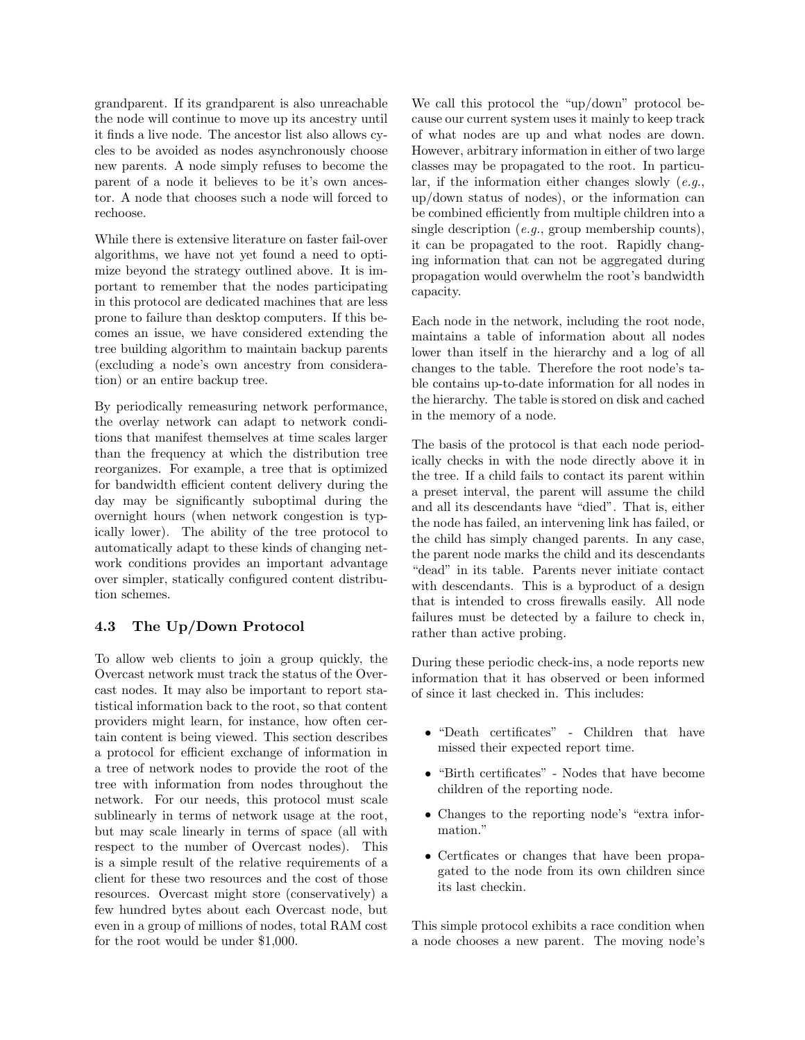grandparent. If its grandparent is also unreachable the node will continue to move up its ancestry until it finds a live node. The ancestor list also allows cycles to be avoided as nodes asynchronously choose new parents. A node simply refuses to become the parent of a node it believes to be it's own ancestor. A node that chooses such a node will forced to rechoose.

While there is extensive literature on faster fail-over algorithms, we have not yet found a need to optimize beyond the strategy outlined above. It is important to remember that the nodes participating in this protocol are dedicated machines that are less prone to failure than desktop computers. If this becomes an issue, we have considered extending the tree building algorithm to maintain backup parents (excluding a node's own ancestry from consideration) or an entire backup tree.

By periodically remeasuring network performance, the overlay network can adapt to network conditions that manifest themselves at time scales larger than the frequency at which the distribution tree reorganizes. For example, a tree that is optimized for bandwidth efficient content delivery during the day may be significantly suboptimal during the overnight hours (when network congestion is typically lower). The ability of the tree protocol to automatically adapt to these kinds of changing network conditions provides an important advantage over simpler, statically configured content distribution schemes.

#### 4.3 The Up/Down Protocol

To allow web clients to join a group quickly, the Overcast network must track the status of the Overcast nodes. It may also be important to report statistical information back to the root, so that content providers might learn, for instance, how often certain content is being viewed. This section describes a protocol for efficient exchange of information in a tree of network nodes to provide the root of the tree with information from nodes throughout the network. For our needs, this protocol must scale sublinearly in terms of network usage at the root, but may scale linearly in terms of space (all with respect to the number of Overcast nodes). This is a simple result of the relative requirements of a client for these two resources and the cost of those resources. Overcast might store (conservatively) a few hundred bytes about each Overcast node, but even in a group of millions of nodes, total RAM cost for the root would be under \$1,000.

We call this protocol the "up/down" protocol because our current system uses it mainly to keep track of what nodes are up and what nodes are down. However, arbitrary information in either of two large classes may be propagated to the root. In particular, if the information either changes slowly  $(e.g.,)$ up/down status of nodes), or the information can be combined efficiently from multiple children into a single description (e.g., group membership counts), it can be propagated to the root. Rapidly changing information that can not be aggregated during propagation would overwhelm the root's bandwidth capacity.

Each node in the network, including the root node, maintains a table of information about all nodes lower than itself in the hierarchy and a log of all changes to the table. Therefore the root node's table contains up-to-date information for all nodes in the hierarchy. The table is stored on disk and cached in the memory of a node.

The basis of the protocol is that each node periodically checks in with the node directly above it in the tree. If a child fails to contact its parent within a preset interval, the parent will assume the child and all its descendants have "died". That is, either the node has failed, an intervening link has failed, or the child has simply changed parents. In any case, the parent node marks the child and its descendants "dead" in its table. Parents never initiate contact with descendants. This is a byproduct of a design that is intended to cross firewalls easily. All node failures must be detected by a failure to check in, rather than active probing.

During these periodic check-ins, a node reports new information that it has observed or been informed of since it last checked in. This includes:

- "Death certificates" Children that have missed their expected report time.
- "Birth certificates" Nodes that have become children of the reporting node.
- Changes to the reporting node's "extra information."
- Certficates or changes that have been propagated to the node from its own children since its last checkin.

This simple protocol exhibits a race condition when a node chooses a new parent. The moving node's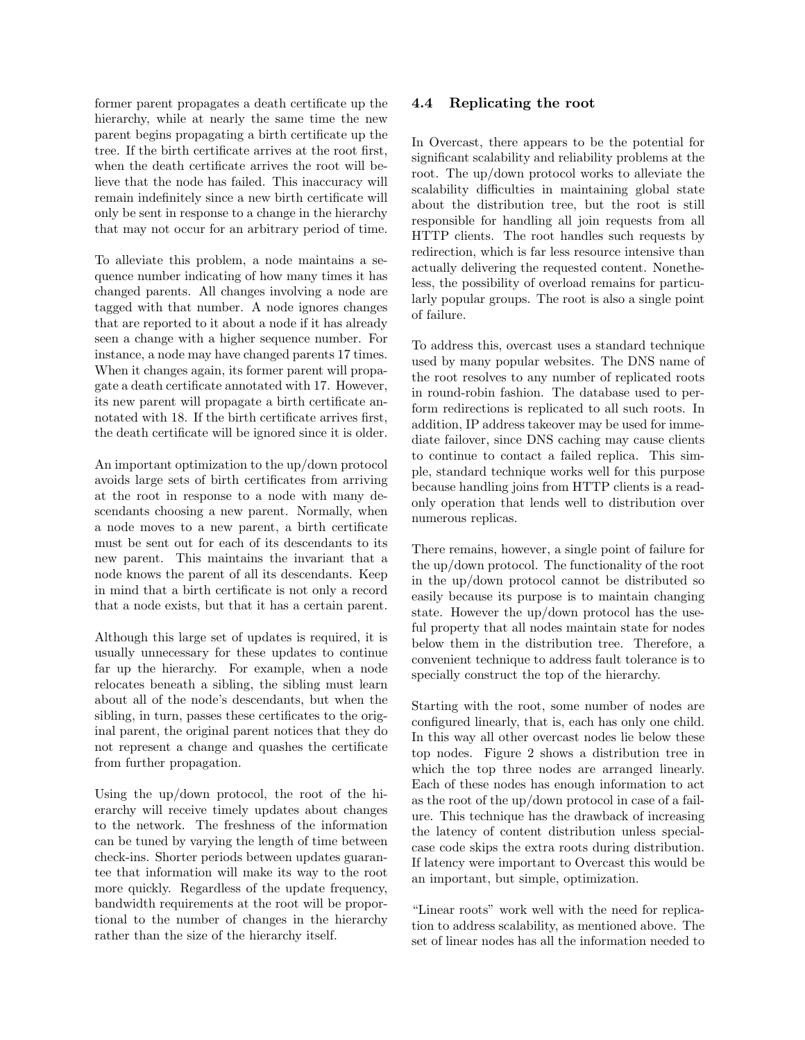former parent propagates a death certificate up the hierarchy, while at nearly the same time the new parent begins propagating a birth certificate up the tree. If the birth certificate arrives at the root first, when the death certificate arrives the root will believe that the node has failed. This inaccuracy will remain indefinitely since a new birth certificate will only be sent in response to a change in the hierarchy that may not occur for an arbitrary period of time.

To alleviate this problem, a node maintains a sequence number indicating of how many times it has changed parents. All changes involving a node are tagged with that number. A node ignores changes that are reported to it about a node if it has already seen a change with a higher sequence number. For instance, a node may have changed parents 17 times. When it changes again, its former parent will propagate a death certificate annotated with 17. However, its new parent will propagate a birth certificate annotated with 18. If the birth certificate arrives first, the death certificate will be ignored since it is older.

An important optimization to the up/down protocol avoids large sets of birth certificates from arriving at the root in response to a node with many descendants choosing a new parent. Normally, when a node moves to a new parent, a birth certificate must be sent out for each of its descendants to its new parent. This maintains the invariant that a node knows the parent of all its descendants. Keep in mind that a birth certificate is not only a record that a node exists, but that it has a certain parent.

Although this large set of updates is required, it is usually unnecessary for these updates to continue far up the hierarchy. For example, when a node relocates beneath a sibling, the sibling must learn about all of the node's descendants, but when the sibling, in turn, passes these certificates to the original parent, the original parent notices that they do not represent a change and quashes the certificate from further propagation.

Using the up/down protocol, the root of the hierarchy will receive timely updates about changes to the network. The freshness of the information can be tuned by varying the length of time between check-ins. Shorter periods between updates guarantee that information will make its way to the root more quickly. Regardless of the update frequency, bandwidth requirements at the root will be proportional to the number of changes in the hierarchy rather than the size of the hierarchy itself.

#### 4.4 Replicating the root

In Overcast, there appears to be the potential for significant scalability and reliability problems at the root. The up/down protocol works to alleviate the scalability difficulties in maintaining global state about the distribution tree, but the root is still responsible for handling all join requests from all HTTP clients. The root handles such requests by redirection, which is far less resource intensive than actually delivering the requested content. Nonetheless, the possibility of overload remains for particularly popular groups. The root is also a single point of failure.

To address this, overcast uses a standard technique used by many popular websites. The DNS name of the root resolves to any number of replicated roots in round-robin fashion. The database used to perform redirections is replicated to all such roots. In addition, IP address takeover may be used for immediate failover, since DNS caching may cause clients to continue to contact a failed replica. This simple, standard technique works well for this purpose because handling joins from HTTP clients is a readonly operation that lends well to distribution over numerous replicas.

There remains, however, a single point of failure for the up/down protocol. The functionality of the root in the up/down protocol cannot be distributed so easily because its purpose is to maintain changing state. However the up/down protocol has the useful property that all nodes maintain state for nodes below them in the distribution tree. Therefore, a convenient technique to address fault tolerance is to specially construct the top of the hierarchy.

Starting with the root, some number of nodes are configured linearly, that is, each has only one child. In this way all other overcast nodes lie below these top nodes. Figure 2 shows a distribution tree in which the top three nodes are arranged linearly. Each of these nodes has enough information to act as the root of the up/down protocol in case of a failure. This technique has the drawback of increasing the latency of content distribution unless specialcase code skips the extra roots during distribution. If latency were important to Overcast this would be an important, but simple, optimization.

"Linear roots" work well with the need for replication to address scalability, as mentioned above. The set of linear nodes has all the information needed to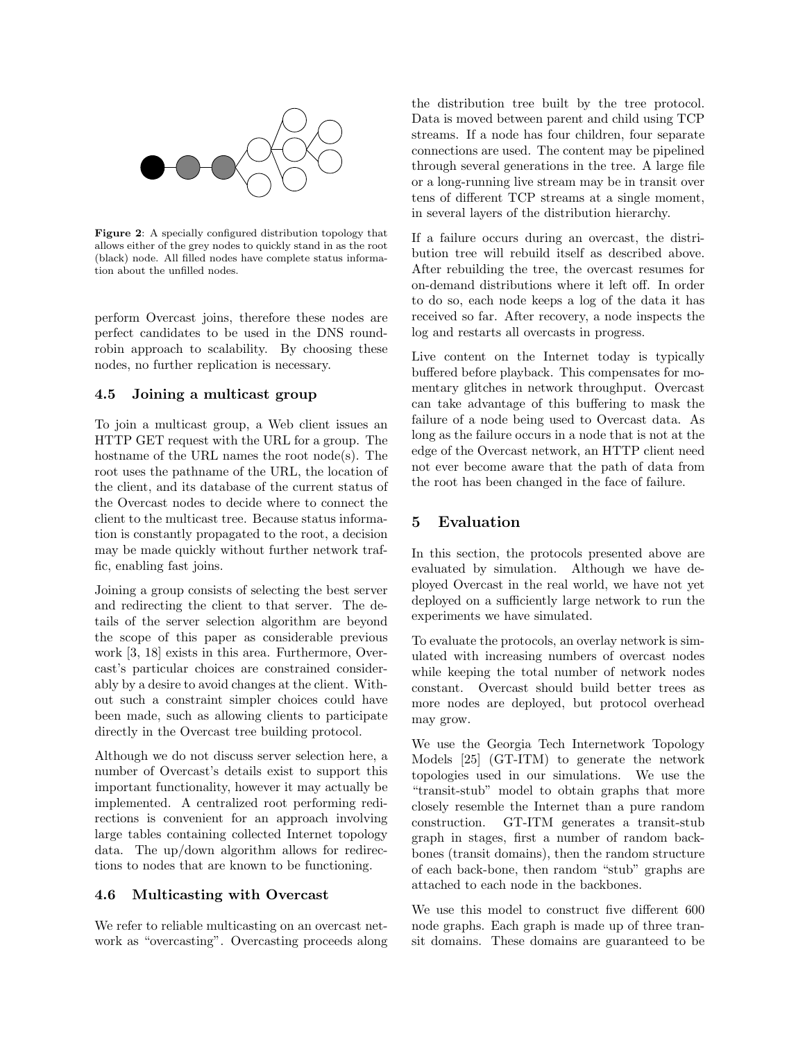

Figure 2: A specially configured distribution topology that allows either of the grey nodes to quickly stand in as the root (black) node. All filled nodes have complete status information about the unfilled nodes.

perform Overcast joins, therefore these nodes are perfect candidates to be used in the DNS roundrobin approach to scalability. By choosing these nodes, no further replication is necessary.

### 4.5 Joining a multicast group

To join a multicast group, a Web client issues an HTTP GET request with the URL for a group. The hostname of the URL names the root node(s). The root uses the pathname of the URL, the location of the client, and its database of the current status of the Overcast nodes to decide where to connect the client to the multicast tree. Because status information is constantly propagated to the root, a decision may be made quickly without further network traffic, enabling fast joins.

Joining a group consists of selecting the best server and redirecting the client to that server. The details of the server selection algorithm are beyond the scope of this paper as considerable previous work [3, 18] exists in this area. Furthermore, Overcast's particular choices are constrained considerably by a desire to avoid changes at the client. Without such a constraint simpler choices could have been made, such as allowing clients to participate directly in the Overcast tree building protocol.

Although we do not discuss server selection here, a number of Overcast's details exist to support this important functionality, however it may actually be implemented. A centralized root performing redirections is convenient for an approach involving large tables containing collected Internet topology data. The up/down algorithm allows for redirections to nodes that are known to be functioning.

#### 4.6 Multicasting with Overcast

We refer to reliable multicasting on an overcast network as "overcasting". Overcasting proceeds along the distribution tree built by the tree protocol. Data is moved between parent and child using TCP streams. If a node has four children, four separate connections are used. The content may be pipelined through several generations in the tree. A large file or a long-running live stream may be in transit over tens of different TCP streams at a single moment, in several layers of the distribution hierarchy.

If a failure occurs during an overcast, the distribution tree will rebuild itself as described above. After rebuilding the tree, the overcast resumes for on-demand distributions where it left off. In order to do so, each node keeps a log of the data it has received so far. After recovery, a node inspects the log and restarts all overcasts in progress.

Live content on the Internet today is typically buffered before playback. This compensates for momentary glitches in network throughput. Overcast can take advantage of this buffering to mask the failure of a node being used to Overcast data. As long as the failure occurs in a node that is not at the edge of the Overcast network, an HTTP client need not ever become aware that the path of data from the root has been changed in the face of failure.

### 5 Evaluation

In this section, the protocols presented above are evaluated by simulation. Although we have deployed Overcast in the real world, we have not yet deployed on a sufficiently large network to run the experiments we have simulated.

To evaluate the protocols, an overlay network is simulated with increasing numbers of overcast nodes while keeping the total number of network nodes constant. Overcast should build better trees as more nodes are deployed, but protocol overhead may grow.

We use the Georgia Tech Internetwork Topology Models [25] (GT-ITM) to generate the network topologies used in our simulations. We use the "transit-stub" model to obtain graphs that more closely resemble the Internet than a pure random construction. GT-ITM generates a transit-stub graph in stages, first a number of random backbones (transit domains), then the random structure of each back-bone, then random "stub" graphs are attached to each node in the backbones.

We use this model to construct five different 600 node graphs. Each graph is made up of three transit domains. These domains are guaranteed to be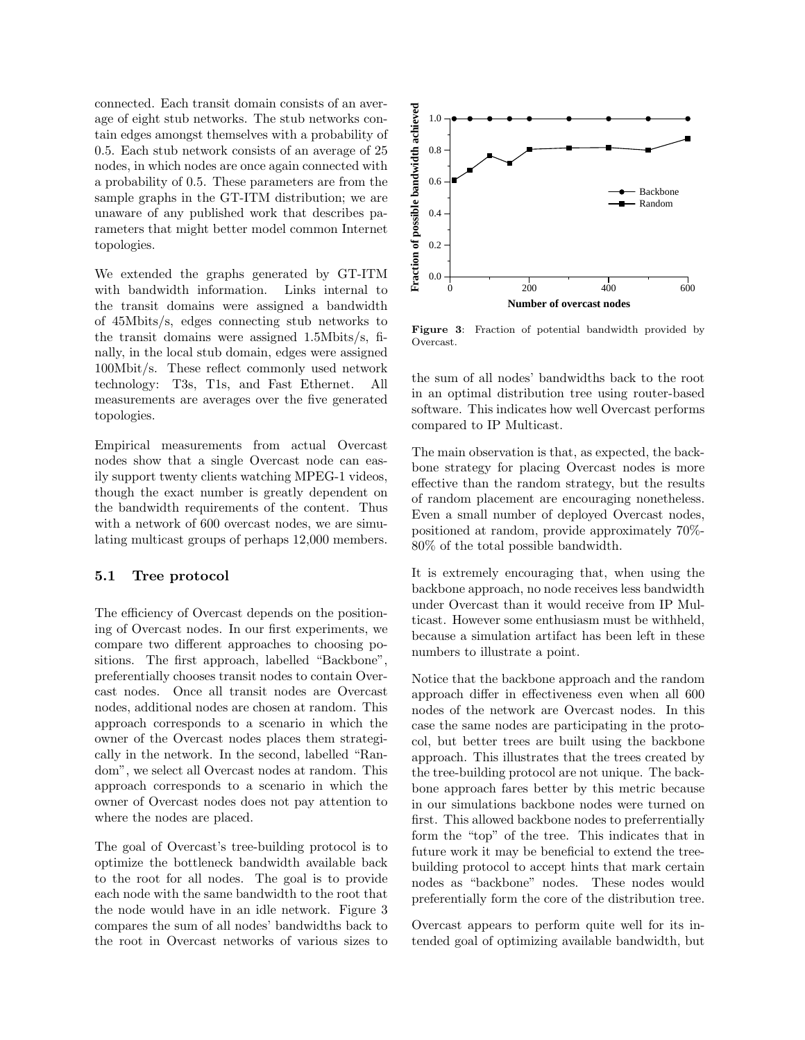connected. Each transit domain consists of an average of eight stub networks. The stub networks contain edges amongst themselves with a probability of 0.5. Each stub network consists of an average of 25 nodes, in which nodes are once again connected with a probability of 0.5. These parameters are from the sample graphs in the GT-ITM distribution; we are unaware of any published work that describes parameters that might better model common Internet topologies.

We extended the graphs generated by GT-ITM with bandwidth information. Links internal to the transit domains were assigned a bandwidth of 45Mbits/s, edges connecting stub networks to the transit domains were assigned 1.5Mbits/s, finally, in the local stub domain, edges were assigned 100Mbit/s. These reflect commonly used network technology: T3s, T1s, and Fast Ethernet. All measurements are averages over the five generated topologies.

Empirical measurements from actual Overcast nodes show that a single Overcast node can easily support twenty clients watching MPEG-1 videos, though the exact number is greatly dependent on the bandwidth requirements of the content. Thus with a network of 600 overcast nodes, we are simulating multicast groups of perhaps 12,000 members.

#### 5.1 Tree protocol

The efficiency of Overcast depends on the positioning of Overcast nodes. In our first experiments, we compare two different approaches to choosing positions. The first approach, labelled "Backbone", preferentially chooses transit nodes to contain Overcast nodes. Once all transit nodes are Overcast nodes, additional nodes are chosen at random. This approach corresponds to a scenario in which the owner of the Overcast nodes places them strategically in the network. In the second, labelled "Random", we select all Overcast nodes at random. This approach corresponds to a scenario in which the owner of Overcast nodes does not pay attention to where the nodes are placed.

The goal of Overcast's tree-building protocol is to optimize the bottleneck bandwidth available back to the root for all nodes. The goal is to provide each node with the same bandwidth to the root that the node would have in an idle network. Figure 3 compares the sum of all nodes' bandwidths back to the root in Overcast networks of various sizes to



Figure 3: Fraction of potential bandwidth provided by Overcast.

the sum of all nodes' bandwidths back to the root in an optimal distribution tree using router-based software. This indicates how well Overcast performs compared to IP Multicast.

The main observation is that, as expected, the backbone strategy for placing Overcast nodes is more effective than the random strategy, but the results of random placement are encouraging nonetheless. Even a small number of deployed Overcast nodes, positioned at random, provide approximately 70%- 80% of the total possible bandwidth.

It is extremely encouraging that, when using the backbone approach, no node receives less bandwidth under Overcast than it would receive from IP Multicast. However some enthusiasm must be withheld, because a simulation artifact has been left in these numbers to illustrate a point.

Notice that the backbone approach and the random approach differ in effectiveness even when all 600 nodes of the network are Overcast nodes. In this case the same nodes are participating in the protocol, but better trees are built using the backbone approach. This illustrates that the trees created by the tree-building protocol are not unique. The backbone approach fares better by this metric because in our simulations backbone nodes were turned on first. This allowed backbone nodes to preferrentially form the "top" of the tree. This indicates that in future work it may be beneficial to extend the treebuilding protocol to accept hints that mark certain nodes as "backbone" nodes. These nodes would preferentially form the core of the distribution tree.

Overcast appears to perform quite well for its intended goal of optimizing available bandwidth, but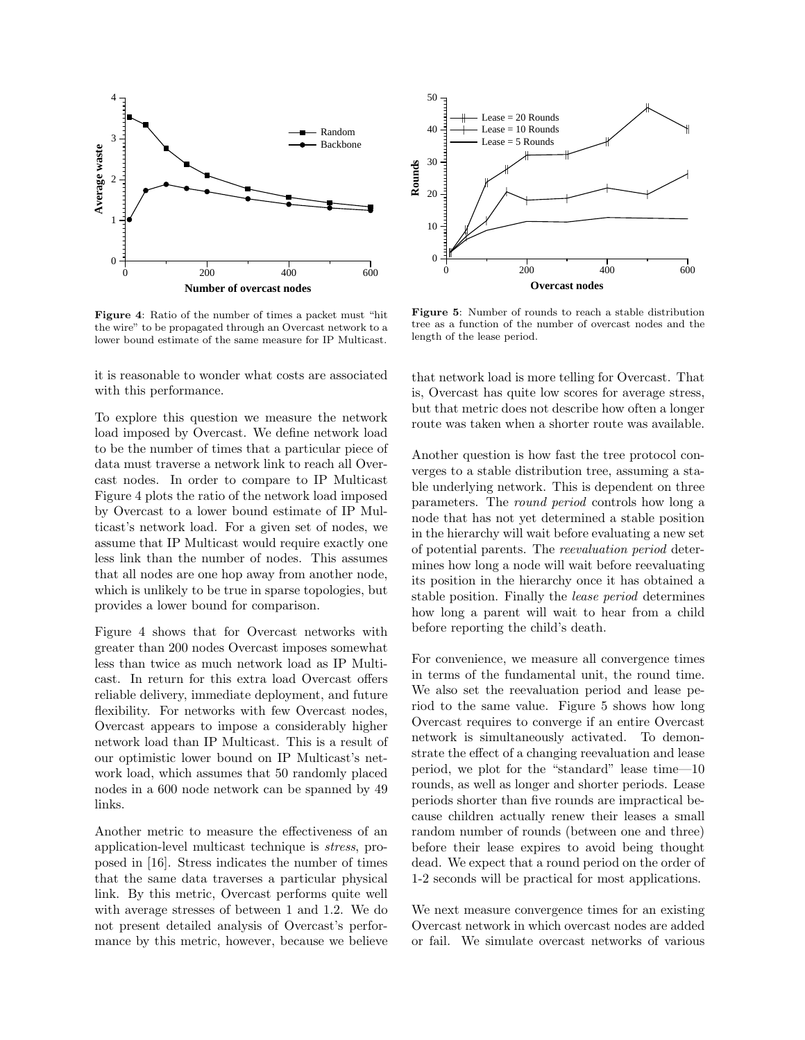

Figure 4: Ratio of the number of times a packet must "hit the wire" to be propagated through an Overcast network to a lower bound estimate of the same measure for IP Multicast.

it is reasonable to wonder what costs are associated with this performance.

To explore this question we measure the network load imposed by Overcast. We define network load to be the number of times that a particular piece of data must traverse a network link to reach all Overcast nodes. In order to compare to IP Multicast Figure 4 plots the ratio of the network load imposed by Overcast to a lower bound estimate of IP Multicast's network load. For a given set of nodes, we assume that IP Multicast would require exactly one less link than the number of nodes. This assumes that all nodes are one hop away from another node, which is unlikely to be true in sparse topologies, but provides a lower bound for comparison.

Figure 4 shows that for Overcast networks with greater than 200 nodes Overcast imposes somewhat less than twice as much network load as IP Multicast. In return for this extra load Overcast offers reliable delivery, immediate deployment, and future flexibility. For networks with few Overcast nodes, Overcast appears to impose a considerably higher network load than IP Multicast. This is a result of our optimistic lower bound on IP Multicast's network load, which assumes that 50 randomly placed nodes in a 600 node network can be spanned by 49 links.

Another metric to measure the effectiveness of an application-level multicast technique is stress, proposed in [16]. Stress indicates the number of times that the same data traverses a particular physical link. By this metric, Overcast performs quite well with average stresses of between 1 and 1.2. We do not present detailed analysis of Overcast's performance by this metric, however, because we believe



Figure 5: Number of rounds to reach a stable distribution tree as a function of the number of overcast nodes and the length of the lease period.

that network load is more telling for Overcast. That is, Overcast has quite low scores for average stress, but that metric does not describe how often a longer route was taken when a shorter route was available.

Another question is how fast the tree protocol converges to a stable distribution tree, assuming a stable underlying network. This is dependent on three parameters. The round period controls how long a node that has not yet determined a stable position in the hierarchy will wait before evaluating a new set of potential parents. The reevaluation period determines how long a node will wait before reevaluating its position in the hierarchy once it has obtained a stable position. Finally the lease period determines how long a parent will wait to hear from a child before reporting the child's death.

For convenience, we measure all convergence times in terms of the fundamental unit, the round time. We also set the reevaluation period and lease period to the same value. Figure 5 shows how long Overcast requires to converge if an entire Overcast network is simultaneously activated. To demonstrate the effect of a changing reevaluation and lease period, we plot for the "standard" lease time—10 rounds, as well as longer and shorter periods. Lease periods shorter than five rounds are impractical because children actually renew their leases a small random number of rounds (between one and three) before their lease expires to avoid being thought dead. We expect that a round period on the order of 1-2 seconds will be practical for most applications.

We next measure convergence times for an existing Overcast network in which overcast nodes are added or fail. We simulate overcast networks of various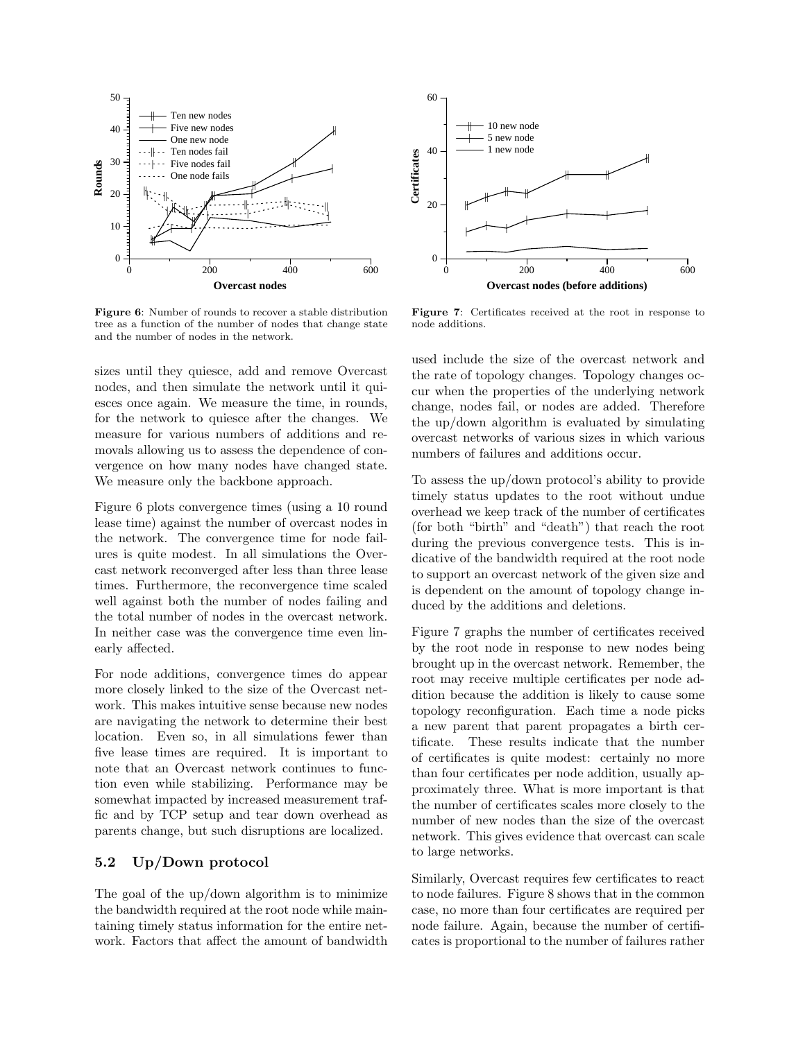

Figure 6: Number of rounds to recover a stable distribution tree as a function of the number of nodes that change state and the number of nodes in the network.

sizes until they quiesce, add and remove Overcast nodes, and then simulate the network until it quiesces once again. We measure the time, in rounds, for the network to quiesce after the changes. We measure for various numbers of additions and removals allowing us to assess the dependence of convergence on how many nodes have changed state. We measure only the backbone approach.

Figure 6 plots convergence times (using a 10 round lease time) against the number of overcast nodes in the network. The convergence time for node failures is quite modest. In all simulations the Overcast network reconverged after less than three lease times. Furthermore, the reconvergence time scaled well against both the number of nodes failing and the total number of nodes in the overcast network. In neither case was the convergence time even linearly affected.

For node additions, convergence times do appear more closely linked to the size of the Overcast network. This makes intuitive sense because new nodes are navigating the network to determine their best location. Even so, in all simulations fewer than five lease times are required. It is important to note that an Overcast network continues to function even while stabilizing. Performance may be somewhat impacted by increased measurement traffic and by TCP setup and tear down overhead as parents change, but such disruptions are localized.

#### 5.2 Up/Down protocol

The goal of the up/down algorithm is to minimize the bandwidth required at the root node while maintaining timely status information for the entire network. Factors that affect the amount of bandwidth



Figure 7: Certificates received at the root in response to node additions.

used include the size of the overcast network and the rate of topology changes. Topology changes occur when the properties of the underlying network change, nodes fail, or nodes are added. Therefore the up/down algorithm is evaluated by simulating overcast networks of various sizes in which various numbers of failures and additions occur.

To assess the up/down protocol's ability to provide timely status updates to the root without undue overhead we keep track of the number of certificates (for both "birth" and "death") that reach the root during the previous convergence tests. This is indicative of the bandwidth required at the root node to support an overcast network of the given size and is dependent on the amount of topology change induced by the additions and deletions.

Figure 7 graphs the number of certificates received by the root node in response to new nodes being brought up in the overcast network. Remember, the root may receive multiple certificates per node addition because the addition is likely to cause some topology reconfiguration. Each time a node picks a new parent that parent propagates a birth certificate. These results indicate that the number of certificates is quite modest: certainly no more than four certificates per node addition, usually approximately three. What is more important is that the number of certificates scales more closely to the number of new nodes than the size of the overcast network. This gives evidence that overcast can scale to large networks.

Similarly, Overcast requires few certificates to react to node failures. Figure 8 shows that in the common case, no more than four certificates are required per node failure. Again, because the number of certificates is proportional to the number of failures rather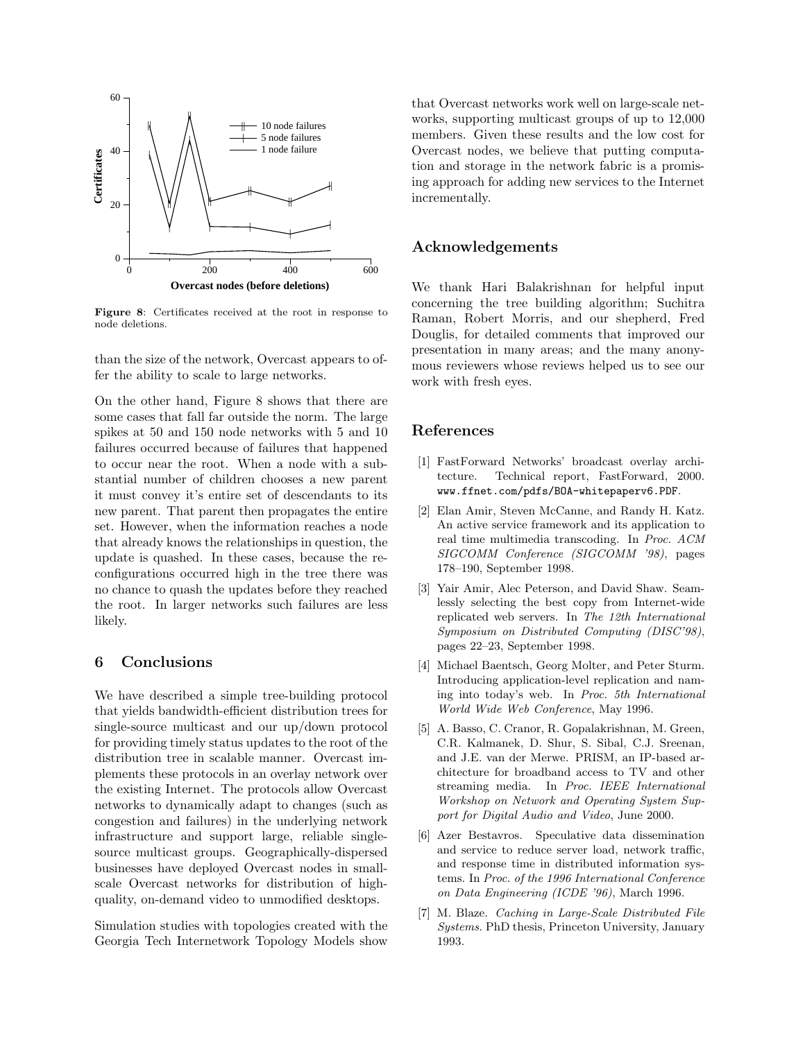

Figure 8: Certificates received at the root in response to node deletions.

than the size of the network, Overcast appears to offer the ability to scale to large networks.

On the other hand, Figure 8 shows that there are some cases that fall far outside the norm. The large spikes at 50 and 150 node networks with 5 and 10 failures occurred because of failures that happened to occur near the root. When a node with a substantial number of children chooses a new parent it must convey it's entire set of descendants to its new parent. That parent then propagates the entire set. However, when the information reaches a node that already knows the relationships in question, the update is quashed. In these cases, because the reconfigurations occurred high in the tree there was no chance to quash the updates before they reached the root. In larger networks such failures are less likely.

### 6 Conclusions

We have described a simple tree-building protocol that yields bandwidth-efficient distribution trees for single-source multicast and our up/down protocol for providing timely status updates to the root of the distribution tree in scalable manner. Overcast implements these protocols in an overlay network over the existing Internet. The protocols allow Overcast networks to dynamically adapt to changes (such as congestion and failures) in the underlying network infrastructure and support large, reliable singlesource multicast groups. Geographically-dispersed businesses have deployed Overcast nodes in smallscale Overcast networks for distribution of highquality, on-demand video to unmodified desktops.

Simulation studies with topologies created with the Georgia Tech Internetwork Topology Models show

that Overcast networks work well on large-scale networks, supporting multicast groups of up to 12,000 members. Given these results and the low cost for Overcast nodes, we believe that putting computation and storage in the network fabric is a promising approach for adding new services to the Internet incrementally.

### Acknowledgements

We thank Hari Balakrishnan for helpful input concerning the tree building algorithm; Suchitra Raman, Robert Morris, and our shepherd, Fred Douglis, for detailed comments that improved our presentation in many areas; and the many anonymous reviewers whose reviews helped us to see our work with fresh eyes.

### References

- [1] FastForward Networks' broadcast overlay architecture. Technical report, FastForward, 2000. www.ffnet.com/pdfs/BOA-whitepaperv6.PDF.
- [2] Elan Amir, Steven McCanne, and Randy H. Katz. An active service framework and its application to real time multimedia transcoding. In Proc. ACM SIGCOMM Conference (SIGCOMM '98), pages 178–190, September 1998.
- [3] Yair Amir, Alec Peterson, and David Shaw. Seamlessly selecting the best copy from Internet-wide replicated web servers. In The 12th International Symposium on Distributed Computing (DISC'98), pages 22–23, September 1998.
- [4] Michael Baentsch, Georg Molter, and Peter Sturm. Introducing application-level replication and naming into today's web. In Proc. 5th International World Wide Web Conference, May 1996.
- [5] A. Basso, C. Cranor, R. Gopalakrishnan, M. Green, C.R. Kalmanek, D. Shur, S. Sibal, C.J. Sreenan, and J.E. van der Merwe. PRISM, an IP-based architecture for broadband access to TV and other streaming media. In Proc. IEEE International Workshop on Network and Operating System Support for Digital Audio and Video, June 2000.
- [6] Azer Bestavros. Speculative data dissemination and service to reduce server load, network traffic, and response time in distributed information systems. In Proc. of the 1996 International Conference on Data Engineering (ICDE '96), March 1996.
- [7] M. Blaze. Caching in Large-Scale Distributed File Systems. PhD thesis, Princeton University, January 1993.